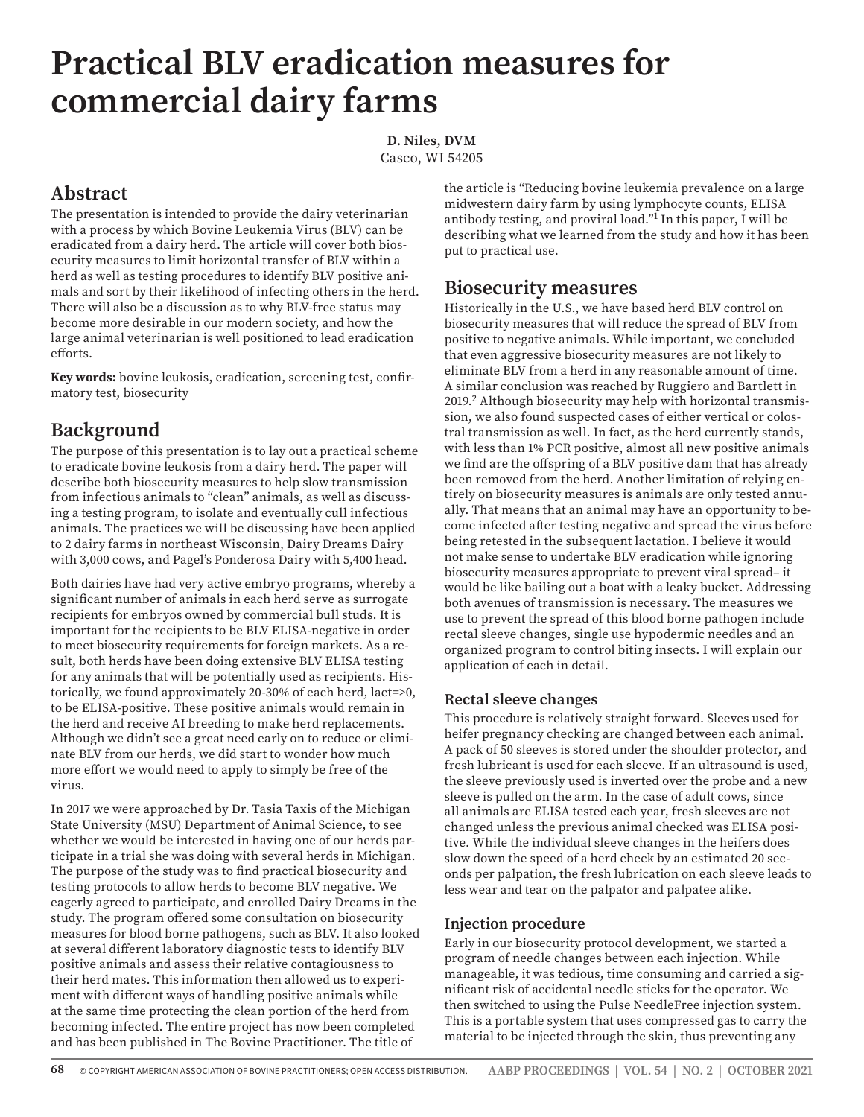# **Practical BLV eradication measures for commercial dairy farms**

**D. Niles, DVM** Casco, WI 54205

# **Abstract**

The presentation is intended to provide the dairy veterinarian with a process by which Bovine Leukemia Virus (BLV) can be eradicated from a dairy herd. The article will cover both biosecurity measures to limit horizontal transfer of BLV within a herd as well as testing procedures to identify BLV positive animals and sort by their likelihood of infecting others in the herd. There will also be a discussion as to why BLV-free status may become more desirable in our modern society, and how the large animal veterinarian is well positioned to lead eradication efforts.

**Key words:** bovine leukosis, eradication, screening test, confirmatory test, biosecurity

# **Background**

The purpose of this presentation is to lay out a practical scheme to eradicate bovine leukosis from a dairy herd. The paper will describe both biosecurity measures to help slow transmission from infectious animals to "clean" animals, as well as discussing a testing program, to isolate and eventually cull infectious animals. The practices we will be discussing have been applied to 2 dairy farms in northeast Wisconsin, Dairy Dreams Dairy with 3,000 cows, and Pagel's Ponderosa Dairy with 5,400 head.

Both dairies have had very active embryo programs, whereby a significant number of animals in each herd serve as surrogate recipients for embryos owned by commercial bull studs. It is important for the recipients to be BLV ELISA-negative in order to meet biosecurity requirements for foreign markets. As a result, both herds have been doing extensive BLV ELISA testing for any animals that will be potentially used as recipients. Historically, we found approximately 20-30% of each herd, lact=>0, to be ELISA-positive. These positive animals would remain in the herd and receive AI breeding to make herd replacements. Although we didn't see a great need early on to reduce or eliminate BLV from our herds, we did start to wonder how much more effort we would need to apply to simply be free of the virus.

In 2017 we were approached by Dr. Tasia Taxis of the Michigan State University (MSU) Department of Animal Science, to see whether we would be interested in having one of our herds participate in a trial she was doing with several herds in Michigan. The purpose of the study was to find practical biosecurity and testing protocols to allow herds to become BLV negative. We eagerly agreed to participate, and enrolled Dairy Dreams in the study. The program offered some consultation on biosecurity measures for blood borne pathogens, such as BLV. It also looked at several different laboratory diagnostic tests to identify BLV positive animals and assess their relative contagiousness to their herd mates. This information then allowed us to experiment with different ways of handling positive animals while at the same time protecting the clean portion of the herd from becoming infected. The entire project has now been completed and has been published in The Bovine Practitioner. The title of

the article is "Reducing bovine leukemia prevalence on a large midwestern dairy farm by using lymphocyte counts, ELISA antibody testing, and proviral load."<sup>1</sup> In this paper, I will be describing what we learned from the study and how it has been put to practical use.

## **Biosecurity measures**

Historically in the U.S., we have based herd BLV control on biosecurity measures that will reduce the spread of BLV from positive to negative animals. While important, we concluded that even aggressive biosecurity measures are not likely to eliminate BLV from a herd in any reasonable amount of time. A similar conclusion was reached by Ruggiero and Bartlett in 2019.<sup>2</sup> Although biosecurity may help with horizontal transmission, we also found suspected cases of either vertical or colostral transmission as well. In fact, as the herd currently stands, with less than 1% PCR positive, almost all new positive animals we find are the offspring of a BLV positive dam that has already been removed from the herd. Another limitation of relying entirely on biosecurity measures is animals are only tested annually. That means that an animal may have an opportunity to become infected after testing negative and spread the virus before being retested in the subsequent lactation. I believe it would not make sense to undertake BLV eradication while ignoring biosecurity measures appropriate to prevent viral spread– it would be like bailing out a boat with a leaky bucket. Addressing both avenues of transmission is necessary. The measures we use to prevent the spread of this blood borne pathogen include rectal sleeve changes, single use hypodermic needles and an organized program to control biting insects. I will explain our application of each in detail.

#### **Rectal sleeve changes**

This procedure is relatively straight forward. Sleeves used for heifer pregnancy checking are changed between each animal. A pack of 50 sleeves is stored under the shoulder protector, and fresh lubricant is used for each sleeve. If an ultrasound is used, the sleeve previously used is inverted over the probe and a new sleeve is pulled on the arm. In the case of adult cows, since all animals are ELISA tested each year, fresh sleeves are not changed unless the previous animal checked was ELISA positive. While the individual sleeve changes in the heifers does slow down the speed of a herd check by an estimated 20 seconds per palpation, the fresh lubrication on each sleeve leads to less wear and tear on the palpator and palpatee alike.

#### **Injection procedure**

Early in our biosecurity protocol development, we started a program of needle changes between each injection. While manageable, it was tedious, time consuming and carried a significant risk of accidental needle sticks for the operator. We then switched to using the Pulse NeedleFree injection system. This is a portable system that uses compressed gas to carry the material to be injected through the skin, thus preventing any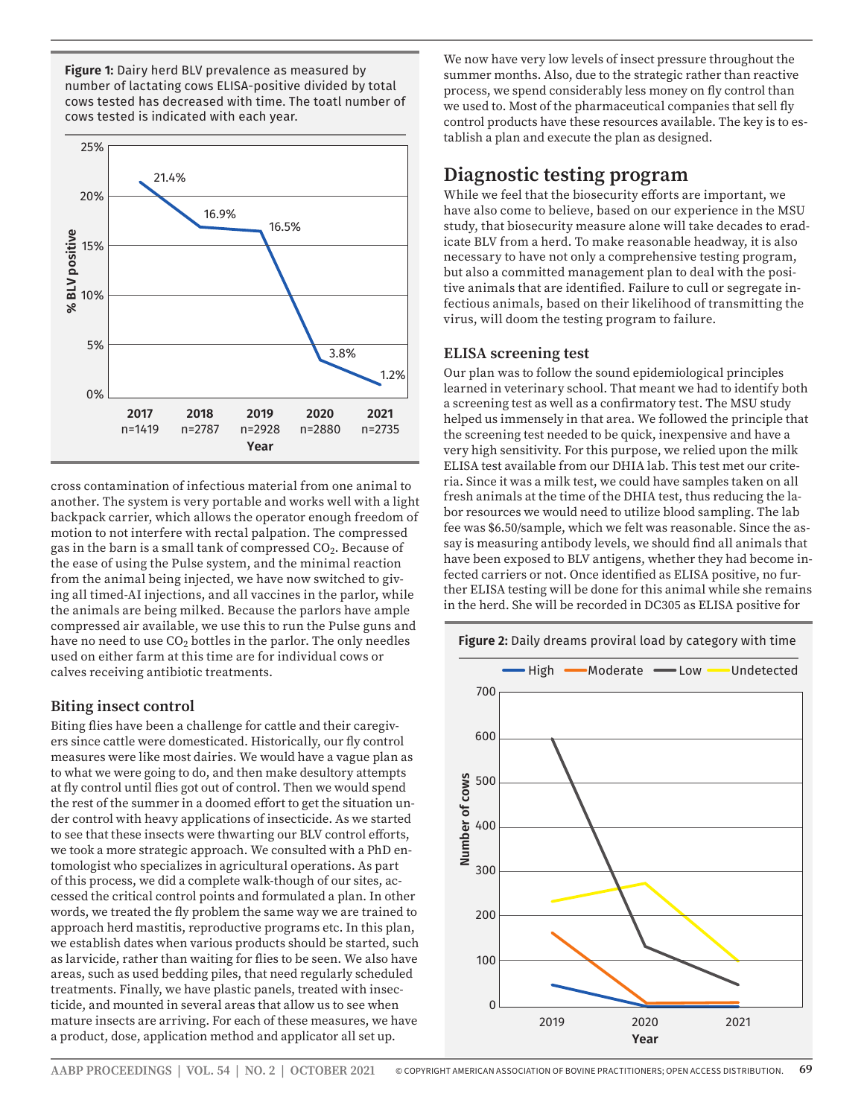**Figure 1:** Dairy herd BLV prevalence as measured by number of lactating cows ELISA-positive divided by total cows tested has decreased with time. The toatl number of cows tested is indicated with each year.



cross contamination of infectious material from one animal to another. The system is very portable and works well with a light backpack carrier, which allows the operator enough freedom of motion to not interfere with rectal palpation. The compressed gas in the barn is a small tank of compressed  $CO<sub>2</sub>$ . Because of the ease of using the Pulse system, and the minimal reaction from the animal being injected, we have now switched to giving all timed-AI injections, and all vaccines in the parlor, while the animals are being milked. Because the parlors have ample compressed air available, we use this to run the Pulse guns and have no need to use  $CO<sub>2</sub>$  bottles in the parlor. The only needles used on either farm at this time are for individual cows or calves receiving antibiotic treatments.

#### **Biting insect control**

Biting flies have been a challenge for cattle and their caregivers since cattle were domesticated. Historically, our fly control measures were like most dairies. We would have a vague plan as to what we were going to do, and then make desultory attempts at fly control until flies got out of control. Then we would spend the rest of the summer in a doomed effort to get the situation under control with heavy applications of insecticide. As we started to see that these insects were thwarting our BLV control efforts, we took a more strategic approach. We consulted with a PhD entomologist who specializes in agricultural operations. As part of this process, we did a complete walk-though of our sites, accessed the critical control points and formulated a plan. In other words, we treated the fly problem the same way we are trained to approach herd mastitis, reproductive programs etc. In this plan, we establish dates when various products should be started, such as larvicide, rather than waiting for flies to be seen. We also have areas, such as used bedding piles, that need regularly scheduled treatments. Finally, we have plastic panels, treated with insecticide, and mounted in several areas that allow us to see when mature insects are arriving. For each of these measures, we have a product, dose, application method and applicator all set up.

We now have very low levels of insect pressure throughout the summer months. Also, due to the strategic rather than reactive process, we spend considerably less money on fly control than we used to. Most of the pharmaceutical companies that sell fly control products have these resources available. The key is to establish a plan and execute the plan as designed.

## **Diagnostic testing program**

While we feel that the biosecurity efforts are important, we have also come to believe, based on our experience in the MSU study, that biosecurity measure alone will take decades to eradicate BLV from a herd. To make reasonable headway, it is also necessary to have not only a comprehensive testing program, but also a committed management plan to deal with the positive animals that are identified. Failure to cull or segregate infectious animals, based on their likelihood of transmitting the virus, will doom the testing program to failure.

#### **ELISA screening test**

Our plan was to follow the sound epidemiological principles learned in veterinary school. That meant we had to identify both a screening test as well as a confirmatory test. The MSU study helped us immensely in that area. We followed the principle that the screening test needed to be quick, inexpensive and have a very high sensitivity. For this purpose, we relied upon the milk ELISA test available from our DHIA lab. This test met our criteria. Since it was a milk test, we could have samples taken on all fresh animals at the time of the DHIA test, thus reducing the labor resources we would need to utilize blood sampling. The lab fee was \$6.50/sample, which we felt was reasonable. Since the assay is measuring antibody levels, we should find all animals that have been exposed to BLV antigens, whether they had become infected carriers or not. Once identified as ELISA positive, no further ELISA testing will be done for this animal while she remains in the herd. She will be recorded in DC305 as ELISA positive for

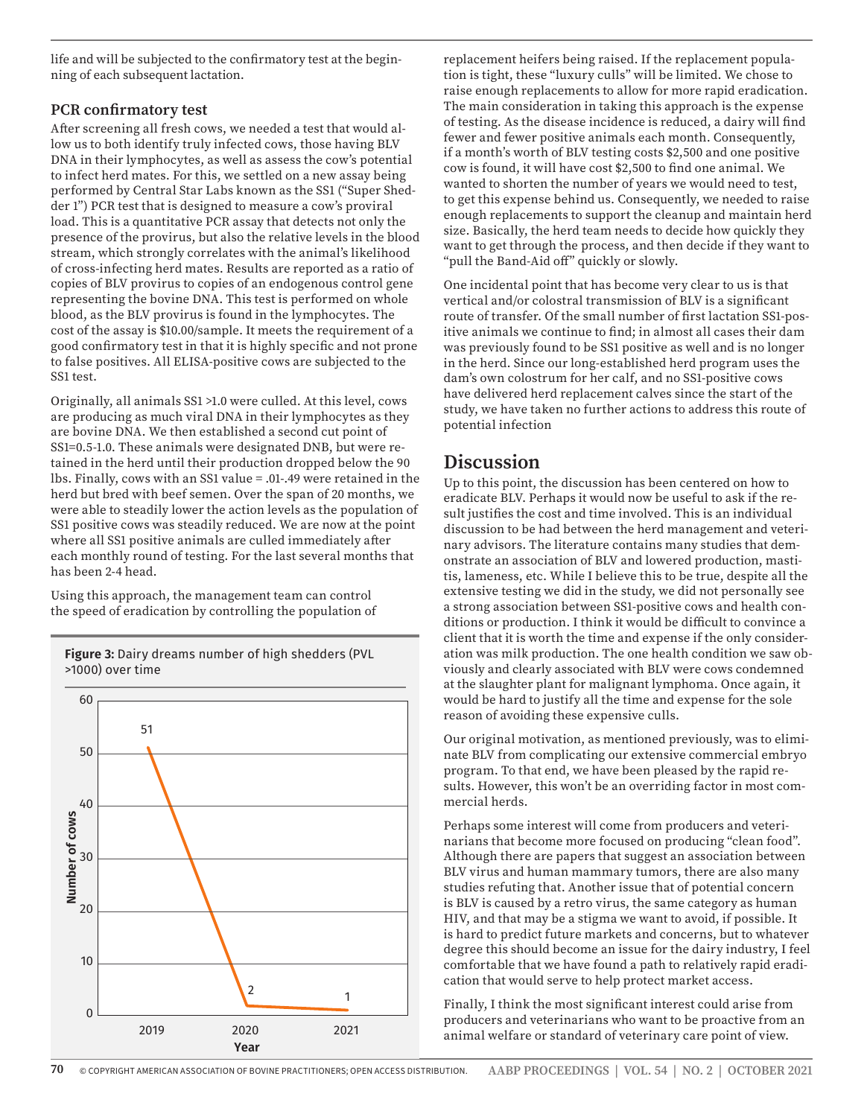life and will be subjected to the confirmatory test at the beginning of each subsequent lactation.

#### **PCR confirmatory test**

After screening all fresh cows, we needed a test that would allow us to both identify truly infected cows, those having BLV DNA in their lymphocytes, as well as assess the cow's potential to infect herd mates. For this, we settled on a new assay being performed by Central Star Labs known as the SS1 ("Super Shedder 1") PCR test that is designed to measure a cow's proviral load. This is a quantitative PCR assay that detects not only the presence of the provirus, but also the relative levels in the blood stream, which strongly correlates with the animal's likelihood of cross-infecting herd mates. Results are reported as a ratio of copies of BLV provirus to copies of an endogenous control gene representing the bovine DNA. This test is performed on whole blood, as the BLV provirus is found in the lymphocytes. The cost of the assay is \$10.00/sample. It meets the requirement of a good confirmatory test in that it is highly specific and not prone to false positives. All ELISA-positive cows are subjected to the SS1 test.

Originally, all animals SS1 >1.0 were culled. At this level, cows are producing as much viral DNA in their lymphocytes as they are bovine DNA. We then established a second cut point of SS1=0.5-1.0. These animals were designated DNB, but were retained in the herd until their production dropped below the 90 lbs. Finally, cows with an SS1 value = .01-.49 were retained in the herd but bred with beef semen. Over the span of 20 months, we were able to steadily lower the action levels as the population of SS1 positive cows was steadily reduced. We are now at the point where all SS1 positive animals are culled immediately after each monthly round of testing. For the last several months that has been 2-4 head.

Using this approach, the management team can control the speed of eradication by controlling the population of



**Figure 3:** Dairy dreams number of high shedders (PVL >1000) over time

replacement heifers being raised. If the replacement population is tight, these "luxury culls" will be limited. We chose to raise enough replacements to allow for more rapid eradication. The main consideration in taking this approach is the expense of testing. As the disease incidence is reduced, a dairy will find fewer and fewer positive animals each month. Consequently, if a month's worth of BLV testing costs \$2,500 and one positive cow is found, it will have cost \$2,500 to find one animal. We wanted to shorten the number of years we would need to test, to get this expense behind us. Consequently, we needed to raise enough replacements to support the cleanup and maintain herd size. Basically, the herd team needs to decide how quickly they want to get through the process, and then decide if they want to "pull the Band-Aid off" quickly or slowly.

One incidental point that has become very clear to us is that vertical and/or colostral transmission of BLV is a significant route of transfer. Of the small number of first lactation SS1-positive animals we continue to find; in almost all cases their dam was previously found to be SS1 positive as well and is no longer in the herd. Since our long-established herd program uses the dam's own colostrum for her calf, and no SS1-positive cows have delivered herd replacement calves since the start of the study, we have taken no further actions to address this route of potential infection

## **Discussion**

Up to this point, the discussion has been centered on how to eradicate BLV. Perhaps it would now be useful to ask if the result justifies the cost and time involved. This is an individual discussion to be had between the herd management and veterinary advisors. The literature contains many studies that demonstrate an association of BLV and lowered production, mastitis, lameness, etc. While I believe this to be true, despite all the extensive testing we did in the study, we did not personally see a strong association between SS1-positive cows and health conditions or production. I think it would be difficult to convince a client that it is worth the time and expense if the only consideration was milk production. The one health condition we saw obviously and clearly associated with BLV were cows condemned at the slaughter plant for malignant lymphoma. Once again, it would be hard to justify all the time and expense for the sole reason of avoiding these expensive culls.

Our original motivation, as mentioned previously, was to eliminate BLV from complicating our extensive commercial embryo program. To that end, we have been pleased by the rapid results. However, this won't be an overriding factor in most commercial herds.

Perhaps some interest will come from producers and veterinarians that become more focused on producing "clean food". Although there are papers that suggest an association between BLV virus and human mammary tumors, there are also many studies refuting that. Another issue that of potential concern is BLV is caused by a retro virus, the same category as human HIV, and that may be a stigma we want to avoid, if possible. It is hard to predict future markets and concerns, but to whatever degree this should become an issue for the dairy industry, I feel comfortable that we have found a path to relatively rapid eradication that would serve to help protect market access.

Finally, I think the most significant interest could arise from producers and veterinarians who want to be proactive from an animal welfare or standard of veterinary care point of view.